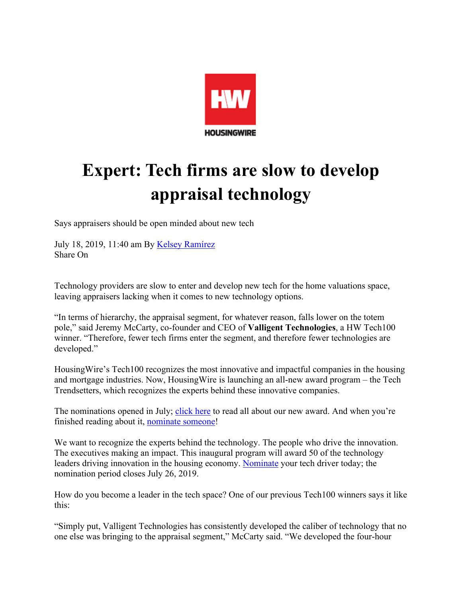

## **Expert: Tech firms are slow to develop appraisal technology**

Says appraisers should be open minded about new tech

July 18, 2019, 11:40 am By Kelsey Ramírez Share On

Technology providers are slow to enter and develop new tech for the home valuations space, leaving appraisers lacking when it comes to new technology options.

"In terms of hierarchy, the appraisal segment, for whatever reason, falls lower on the totem pole," said Jeremy McCarty, co-founder and CEO of **Valligent Technologies**, a HW Tech100 winner. "Therefore, fewer tech firms enter the segment, and therefore fewer technologies are developed."

HousingWire's Tech100 recognizes the most innovative and impactful companies in the housing and mortgage industries. Now, HousingWire is launching an all-new award program – the Tech Trendsetters, which recognizes the experts behind these innovative companies.

The nominations opened in July; click here to read all about our new award. And when you're finished reading about it, nominate someone!

We want to recognize the experts behind the technology. The people who drive the innovation. The executives making an impact. This inaugural program will award 50 of the technology leaders driving innovation in the housing economy. Nominate your tech driver today; the nomination period closes July 26, 2019.

How do you become a leader in the tech space? One of our previous Tech100 winners says it like this:

"Simply put, Valligent Technologies has consistently developed the caliber of technology that no one else was bringing to the appraisal segment," McCarty said. "We developed the four-hour